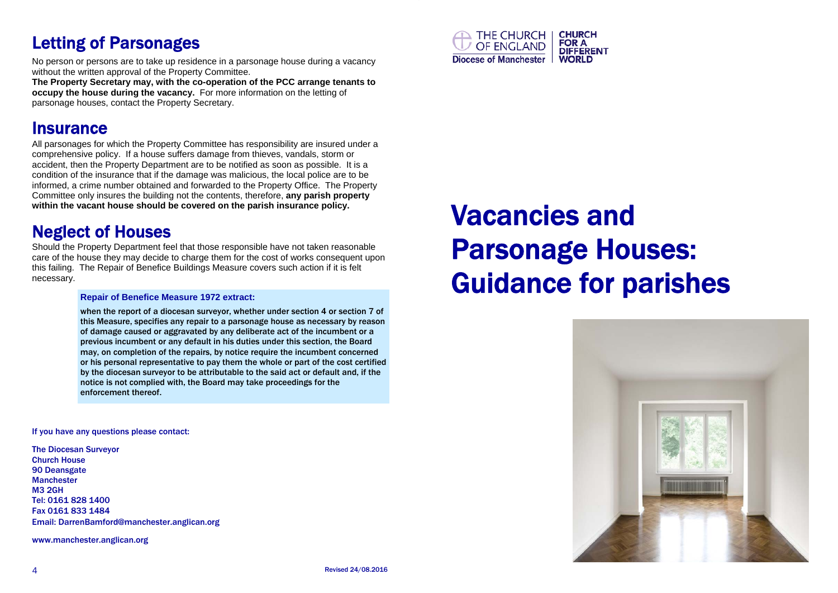# Letting of Parsonages

No person or persons are to take up residence in a parsonage house during a vacancy without the written approval of the Property Committee.

**The Property Secretary may, with the co-operation of the PCC arrange tenants to occupy the house during the vacancy.** For more information on the letting of parsonage houses, contact the Property Secretary.

### Insurance

All parsonages for which the Property Committee has responsibility are insured under a comprehensive policy. If a house suffers damage from thieves, vandals, storm or accident, then the Property Department are to be notified as soon as possible. It is a condition of the insurance that if the damage was malicious, the local police are to be informed, a crime number obtained and forwarded to the Property Office. The Property Committee only insures the building not the contents, therefore, **any parish property within the vacant house should be covered on the parish insurance policy.** 

# Neglect of Houses

Should the Property Department feel that those responsible have not taken reasonable care of the house they may decide to charge them for the cost of works consequent upon this failing. The Repair of Benefice Buildings Measure covers such action if it is felt necessary.

### **Repair of Benefice Measure 1972 extract:**

when the report of a diocesan surveyor, whether under section 4 or section 7 of this Measure, specifies any repair to a parsonage house as necessary by reason of damage caused or aggravated by any deliberate act of the incumbent or a previous incumbent or any default in his duties under this section, the Board may, on completion of the repairs, by notice require the incumbent concerned or his personal representative to pay them the whole or part of the cost certified by the diocesan surveyor to be attributable to the said act or default and, if the notice is not complied with, the Board may take proceedings for the enforcement thereof.

If you have any questions please contact:

The Diocesan Surveyor Church House 90 Deansgate Manchester M3 2GH Tel: 0161 828 1400 Fax 0161 833 1484 Email: DarrenBamford@manchester.anglican.org

www.manchester.anglican.org



# Vacancies and Parsonage Houses: Guidance for parishes